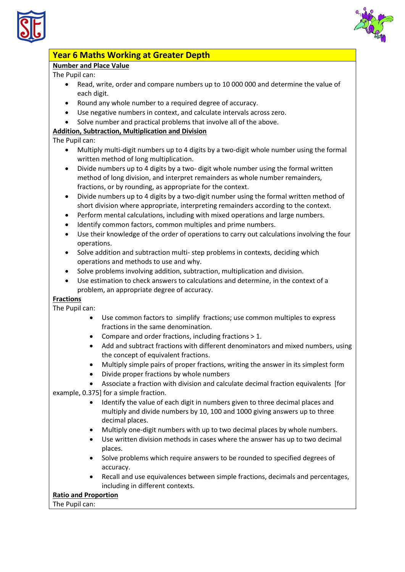



# **Year 6 Maths Working at Greater Depth**

## **Number and Place Value**

The Pupil can:

- Read, write, order and compare numbers up to 10 000 000 and determine the value of each digit.
- Round any whole number to a required degree of accuracy.
- Use negative numbers in context, and calculate intervals across zero.
- Solve number and practical problems that involve all of the above.

# **Addition, Subtraction, Multiplication and Division**

## The Pupil can:

- Multiply multi-digit numbers up to 4 digits by a two-digit whole number using the formal written method of long multiplication.
- Divide numbers up to 4 digits by a two- digit whole number using the formal written method of long division, and interpret remainders as whole number remainders, fractions, or by rounding, as appropriate for the context.
- Divide numbers up to 4 digits by a two-digit number using the formal written method of short division where appropriate, interpreting remainders according to the context.
- Perform mental calculations, including with mixed operations and large numbers.
- Identify common factors, common multiples and prime numbers.
- Use their knowledge of the order of operations to carry out calculations involving the four operations.
- Solve addition and subtraction multi- step problems in contexts, deciding which operations and methods to use and why.
- Solve problems involving addition, subtraction, multiplication and division.
- Use estimation to check answers to calculations and determine, in the context of a problem, an appropriate degree of accuracy.

#### **Fractions**

The Pupil can:

- Use common factors to simplify fractions; use common multiples to express fractions in the same denomination.
- Compare and order fractions, including fractions > 1.
- Add and subtract fractions with different denominators and mixed numbers, using the concept of equivalent fractions.
- Multiply simple pairs of proper fractions, writing the answer in its simplest form
- Divide proper fractions by whole numbers

#### Associate a fraction with division and calculate decimal fraction equivalents [for

example, 0.375] for a simple fraction.

- Identify the value of each digit in numbers given to three decimal places and multiply and divide numbers by 10, 100 and 1000 giving answers up to three decimal places.
- Multiply one-digit numbers with up to two decimal places by whole numbers.
- Use written division methods in cases where the answer has up to two decimal places.
- Solve problems which require answers to be rounded to specified degrees of accuracy.
- Recall and use equivalences between simple fractions, decimals and percentages, including in different contexts.

#### **Ratio and Proportion**

The Pupil can: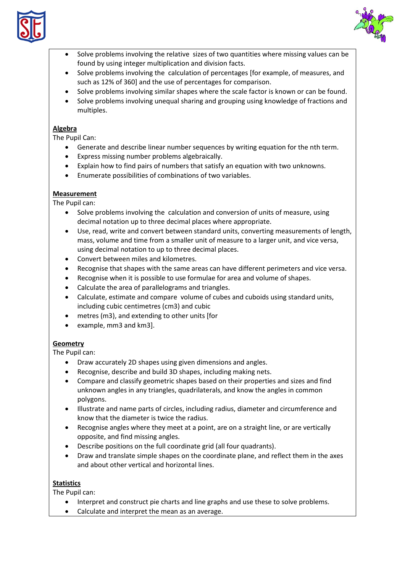



- Solve problems involving the relative sizes of two quantities where missing values can be found by using integer multiplication and division facts.
- Solve problems involving the calculation of percentages [for example, of measures, and such as 12% of 360] and the use of percentages for comparison.
- Solve problems involving similar shapes where the scale factor is known or can be found.
- Solve problems involving unequal sharing and grouping using knowledge of fractions and multiples.

## **Algebra**

The Pupil Can:

- Generate and describe linear number sequences by writing equation for the nth term.
- Express missing number problems algebraically.
- Explain how to find pairs of numbers that satisfy an equation with two unknowns.
- Enumerate possibilities of combinations of two variables.

## **Measurement**

The Pupil can:

- Solve problems involving the calculation and conversion of units of measure, using decimal notation up to three decimal places where appropriate.
- Use, read, write and convert between standard units, converting measurements of length, mass, volume and time from a smaller unit of measure to a larger unit, and vice versa, using decimal notation to up to three decimal places.
- Convert between miles and kilometres.
- Recognise that shapes with the same areas can have different perimeters and vice versa.
- Recognise when it is possible to use formulae for area and volume of shapes.
- Calculate the area of parallelograms and triangles.
- Calculate, estimate and compare volume of cubes and cuboids using standard units, including cubic centimetres (cm3) and cubic
- metres (m3), and extending to other units [for
- example, mm3 and km3].

# **Geometry**

The Pupil can:

- Draw accurately 2D shapes using given dimensions and angles.
- Recognise, describe and build 3D shapes, including making nets.
- Compare and classify geometric shapes based on their properties and sizes and find unknown angles in any triangles, quadrilaterals, and know the angles in common polygons.
- Illustrate and name parts of circles, including radius, diameter and circumference and know that the diameter is twice the radius.
- Recognise angles where they meet at a point, are on a straight line, or are vertically opposite, and find missing angles.
- Describe positions on the full coordinate grid (all four quadrants).
- Draw and translate simple shapes on the coordinate plane, and reflect them in the axes and about other vertical and horizontal lines.

# **Statistics**

The Pupil can:

- Interpret and construct pie charts and line graphs and use these to solve problems.
- Calculate and interpret the mean as an average.